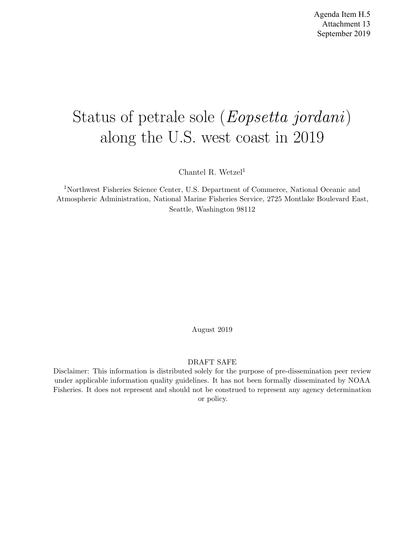# Status of petrale sole (Eopsetta jordani) along the U.S. west coast in 2019

Chantel R. Wetzel<sup>1</sup>

<sup>1</sup>Northwest Fisheries Science Center, U.S. Department of Commerce, National Oceanic and Atmospheric Administration, National Marine Fisheries Service, 2725 Montlake Boulevard East, Seattle, Washington 98112

August 2019

#### DRAFT SAFE

Disclaimer: This information is distributed solely for the purpose of pre-dissemination peer review under applicable information quality guidelines. It has not been formally disseminated by NOAA Fisheries. It does not represent and should not be construed to represent any agency determination or policy.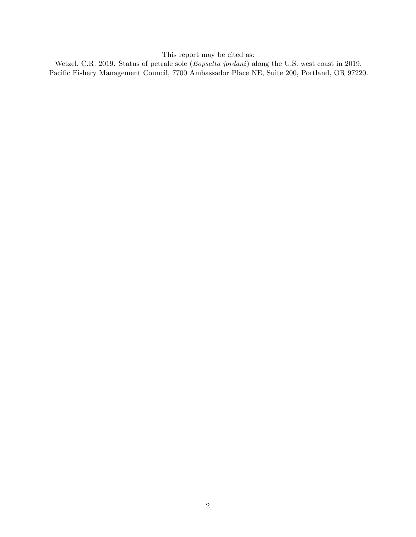This report may be cited as:

Wetzel, C.R. 2019. Status of petrale sole (Eopsetta jordani) along the U.S. west coast in 2019. Pacific Fishery Management Council, 7700 Ambassador Place NE, Suite 200, Portland, OR 97220.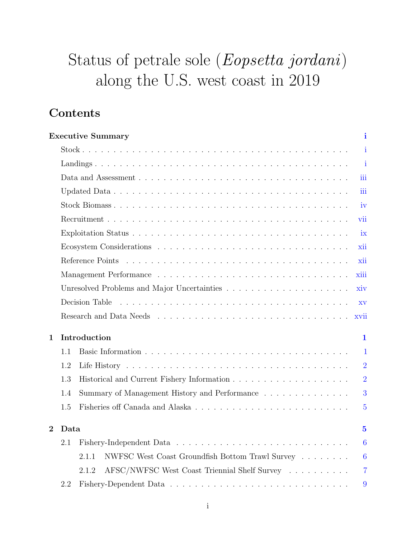# Status of petrale sole (Eopsetta jordani) along the U.S. west coast in 2019

## Contents

|                |      | <b>Executive Summary</b>                                                    | i                |
|----------------|------|-----------------------------------------------------------------------------|------------------|
|                |      |                                                                             | $\mathbf{i}$     |
|                |      |                                                                             | i                |
|                |      |                                                                             | iii              |
|                |      |                                                                             | iii              |
|                |      |                                                                             | iv               |
|                |      |                                                                             | vii              |
|                |      |                                                                             | ix               |
|                |      |                                                                             | xii              |
|                |      |                                                                             | xii              |
|                |      |                                                                             | xiii             |
|                |      |                                                                             | xiv              |
|                |      | Decision Table                                                              | XV               |
|                |      |                                                                             | xvii             |
| $\mathbf 1$    |      | Introduction                                                                | 1                |
|                | 1.1  |                                                                             | 1                |
|                | 1.2  |                                                                             | $\overline{2}$   |
|                | 1.3  |                                                                             | $\overline{2}$   |
|                | 1.4  | Summary of Management History and Performance $\ldots \ldots \ldots \ldots$ | 3                |
|                | 1.5  |                                                                             | $\overline{5}$   |
| $\overline{2}$ | Data |                                                                             | $\overline{5}$   |
|                | 2.1  |                                                                             | $\overline{6}$   |
|                |      |                                                                             |                  |
|                |      | NWFSC West Coast Groundfish Bottom Trawl Survey<br>2.1.1                    | $\boldsymbol{6}$ |
|                |      | AFSC/NWFSC West Coast Triennial Shelf Survey<br>2.1.2                       | $\overline{7}$   |
|                | 2.2  |                                                                             | 9                |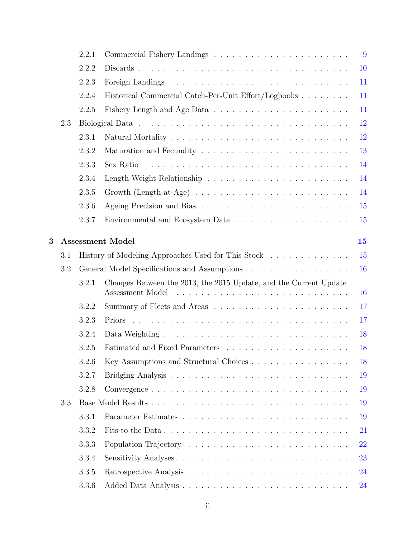|   |     | 2.2.1 |                                                                                                 | 9  |
|---|-----|-------|-------------------------------------------------------------------------------------------------|----|
|   |     | 2.2.2 |                                                                                                 | 10 |
|   |     | 2.2.3 |                                                                                                 | 11 |
|   |     | 2.2.4 | Historical Commercial Catch-Per-Unit Effort/Logbooks                                            | 11 |
|   |     | 2.2.5 |                                                                                                 | 11 |
|   | 2.3 |       |                                                                                                 | 12 |
|   |     | 2.3.1 |                                                                                                 | 12 |
|   |     | 2.3.2 |                                                                                                 | 13 |
|   |     | 2.3.3 | Sex Ratio $\ldots \ldots \ldots \ldots \ldots \ldots \ldots \ldots \ldots \ldots \ldots \ldots$ | 14 |
|   |     | 2.3.4 |                                                                                                 | 14 |
|   |     | 2.3.5 |                                                                                                 | 14 |
|   |     | 2.3.6 |                                                                                                 | 15 |
|   |     | 2.3.7 | Environmental and Ecosystem Data                                                                | 15 |
| 3 |     |       | <b>Assessment Model</b>                                                                         | 15 |
|   | 3.1 |       | History of Modeling Approaches Used for This Stock                                              | 15 |
|   | 3.2 |       | General Model Specifications and Assumptions                                                    | 16 |
|   |     | 3.2.1 | Changes Between the 2013, the 2015 Update, and the Current Update<br>Assessment Model           | 16 |
|   |     | 3.2.2 |                                                                                                 | 17 |
|   |     | 3.2.3 |                                                                                                 | 17 |
|   |     | 3.2.4 |                                                                                                 | 18 |
|   |     | 3.2.5 |                                                                                                 | 18 |
|   |     | 3.2.6 | Key Assumptions and Structural Choices                                                          | 18 |
|   |     | 3.2.7 |                                                                                                 | 19 |
|   |     | 3.2.8 |                                                                                                 | 19 |
|   | 3.3 |       |                                                                                                 | 19 |
|   |     | 3.3.1 |                                                                                                 | 19 |
|   |     | 3.3.2 | Fits to the Data                                                                                | 21 |
|   |     | 3.3.3 |                                                                                                 | 22 |
|   |     | 3.3.4 |                                                                                                 | 23 |
|   |     | 3.3.5 |                                                                                                 | 24 |
|   |     | 3.3.6 |                                                                                                 | 24 |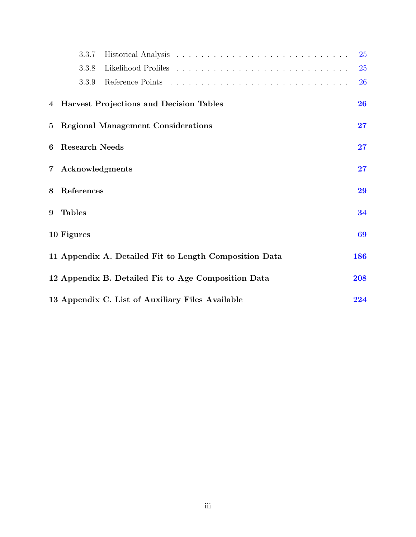|                 | 3.3.7                 |                                                        | 25  |
|-----------------|-----------------------|--------------------------------------------------------|-----|
|                 | 3.3.8                 |                                                        | 25  |
|                 | 3.3.9                 |                                                        | 26  |
|                 |                       | 4 Harvest Projections and Decision Tables              | 26  |
| $5\overline{)}$ |                       | <b>Regional Management Considerations</b>              | 27  |
| 6               | <b>Research Needs</b> |                                                        | 27  |
| $7\degree$      | Acknowledgments       |                                                        | 27  |
| 8               | References            |                                                        | 29  |
| 9               | <b>Tables</b>         |                                                        | 34  |
|                 | 10 Figures            |                                                        | 69  |
|                 |                       | 11 Appendix A. Detailed Fit to Length Composition Data | 186 |
|                 |                       | 12 Appendix B. Detailed Fit to Age Composition Data    | 208 |
|                 |                       | 13 Appendix C. List of Auxiliary Files Available       | 224 |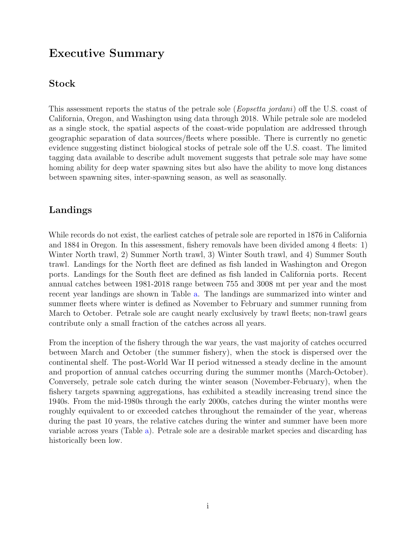## Executive Summary

## Stock

This assessment reports the status of the petrale sole (*Eopsetta jordani*) off the U.S. coast of California, Oregon, and Washington using data through 2018. While petrale sole are modeled as a single stock, the spatial aspects of the coast-wide population are addressed through geographic separation of data sources/fleets where possible. There is currently no genetic evidence suggesting distinct biological stocks of petrale sole off the U.S. coast. The limited tagging data available to describe adult movement suggests that petrale sole may have some homing ability for deep water spawning sites but also have the ability to move long distances between spawning sites, inter-spawning season, as well as seasonally.

## Landings

While records do not exist, the earliest catches of petrale sole are reported in 1876 in California and 1884 in Oregon. In this assessment, fishery removals have been divided among 4 fleets: 1) Winter North trawl, 2) Summer North trawl, 3) Winter South trawl, and 4) Summer South trawl. Landings for the North fleet are defined as fish landed in Washington and Oregon ports. Landings for the South fleet are defined as fish landed in California ports. Recent annual catches between 1981-2018 range between 755 and 3008 mt per year and the most recent year landings are shown in Table a. The landings are summarized into winter and summer fleets where winter is defined as November to February and summer running from March to October. Petrale sole are caught nearly exclusively by trawl fleets; non-trawl gears contribute only a small fraction of the catches across all years.

From the inception of the fishery through the war years, the vast majority of catches occurred between March and October (the summer fishery), when the stock is dispersed over the continental shelf. The post-World War II period witnessed a steady decline in the amount and proportion of annual catches occurring during the summer months (March-October). Conversely, petrale sole catch during the winter season (November-February), when the fishery targets spawning aggregations, has exhibited a steadily increasing trend since the 1940s. From the mid-1980s through the early 2000s, catches during the winter months were roughly equivalent to or exceeded catches throughout the remainder of the year, whereas during the past 10 years, the relative catches during the winter and summer have been more variable across years (Table a). Petrale sole are a desirable market species and discarding has historically been low.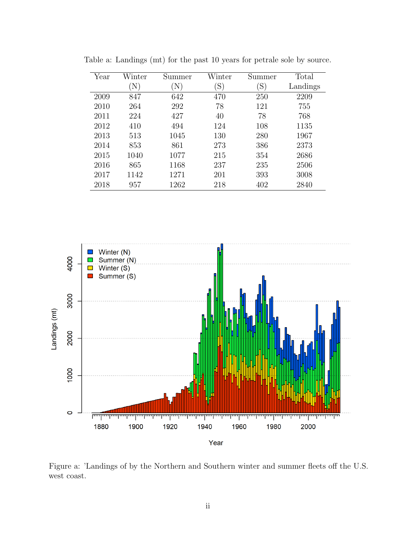| Year | Winter | Summer | Winter         | Summer | Total    |
|------|--------|--------|----------------|--------|----------|
|      | N)     | N)     | $\mathrm{(S)}$ | `S`    | Landings |
| 2009 | 847    | 642    | 470            | 250    | 2209     |
| 2010 | 264    | 292    | 78             | 121    | 755      |
| 2011 | 224    | 427    | 40             | 78     | 768      |
| 2012 | 410    | 494    | 124            | 108    | 1135     |
| 2013 | 513    | 1045   | 130            | 280    | 1967     |
| 2014 | 853    | 861    | 273            | 386    | 2373     |
| 2015 | 1040   | 1077   | 215            | 354    | 2686     |
| 2016 | 865    | 1168   | 237            | 235    | 2506     |
| 2017 | 1142   | 1271   | 201            | 393    | 3008     |
| 2018 | 957    | 1262   | 218            | 402    | 2840     |

Table a: Landings (mt) for the past 10 years for petrale sole by source.



Figure a: 'Landings of by the Northern and Southern winter and summer fleets off the U.S. west coast.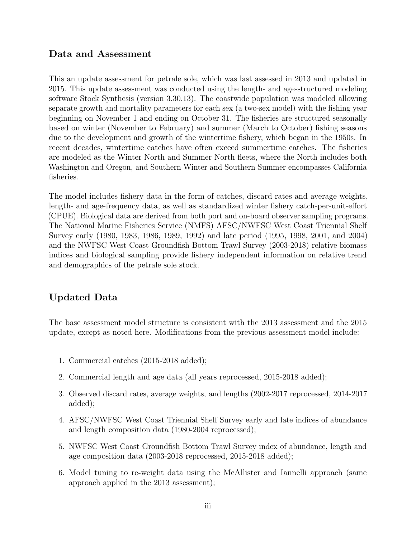## Data and Assessment

This an update assessment for petrale sole, which was last assessed in 2013 and updated in 2015. This update assessment was conducted using the length- and age-structured modeling software Stock Synthesis (version 3.30.13). The coastwide population was modeled allowing separate growth and mortality parameters for each sex (a two-sex model) with the fishing year beginning on November 1 and ending on October 31. The fisheries are structured seasonally based on winter (November to February) and summer (March to October) fishing seasons due to the development and growth of the wintertime fishery, which began in the 1950s. In recent decades, wintertime catches have often exceed summertime catches. The fisheries are modeled as the Winter North and Summer North fleets, where the North includes both Washington and Oregon, and Southern Winter and Southern Summer encompasses California fisheries.

The model includes fishery data in the form of catches, discard rates and average weights, length- and age-frequency data, as well as standardized winter fishery catch-per-unit-effort (CPUE). Biological data are derived from both port and on-board observer sampling programs. The National Marine Fisheries Service (NMFS) AFSC/NWFSC West Coast Triennial Shelf Survey early (1980, 1983, 1986, 1989, 1992) and late period (1995, 1998, 2001, and 2004) and the NWFSC West Coast Groundfish Bottom Trawl Survey (2003-2018) relative biomass indices and biological sampling provide fishery independent information on relative trend and demographics of the petrale sole stock.

## Updated Data

The base assessment model structure is consistent with the 2013 assessment and the 2015 update, except as noted here. Modifications from the previous assessment model include:

- 1. Commercial catches (2015-2018 added);
- 2. Commercial length and age data (all years reprocessed, 2015-2018 added);
- 3. Observed discard rates, average weights, and lengths (2002-2017 reprocessed, 2014-2017 added);
- 4. AFSC/NWFSC West Coast Triennial Shelf Survey early and late indices of abundance and length composition data (1980-2004 reprocessed);
- 5. NWFSC West Coast Groundfish Bottom Trawl Survey index of abundance, length and age composition data (2003-2018 reprocessed, 2015-2018 added);
- 6. Model tuning to re-weight data using the McAllister and Iannelli approach (same approach applied in the 2013 assessment);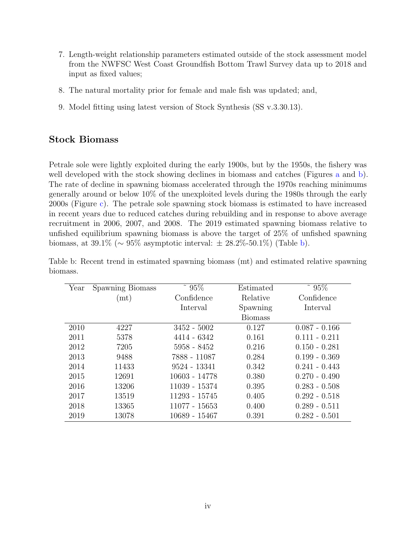- 7. Length-weight relationship parameters estimated outside of the stock assessment model from the NWFSC West Coast Groundfish Bottom Trawl Survey data up to 2018 and input as fixed values;
- 8. The natural mortality prior for female and male fish was updated; and,
- 9. Model fitting using latest version of Stock Synthesis (SS v.3.30.13).

#### Stock Biomass

Petrale sole were lightly exploited during the early 1900s, but by the 1950s, the fishery was well developed with the stock showing declines in biomass and catches (Figures a and b). The rate of decline in spawning biomass accelerated through the 1970s reaching minimums generally around or below 10% of the unexploited levels during the 1980s through the early 2000s (Figure c). The petrale sole spawning stock biomass is estimated to have increased in recent years due to reduced catches during rebuilding and in response to above average recruitment in 2006, 2007, and 2008. The 2019 estimated spawning biomass relative to unfished equilibrium spawning biomass is above the target of 25% of unfished spawning biomass, at 39.1% ( $\sim 95\%$  asymptotic interval:  $\pm 28.2\%$ -50.1%) (Table b).

| Year | Spawning Biomass | 95%           | Estimated      | 95%             |
|------|------------------|---------------|----------------|-----------------|
|      | (m t)            | Confidence    | Relative       | Confidence      |
|      |                  | Interval      | Spawning       | Interval        |
|      |                  |               | <b>Biomass</b> |                 |
| 2010 | 4227             | $3452 - 5002$ | 0.127          | $0.087 - 0.166$ |
| 2011 | 5378             | 4414 - 6342   | 0.161          | $0.111 - 0.211$ |
| 2012 | 7205             | 5958 - 8452   | 0.216          | $0.150 - 0.281$ |
| 2013 | 9488             | 7888 - 11087  | 0.284          | $0.199 - 0.369$ |
| 2014 | 11433            | 9524 - 13341  | 0.342          | $0.241 - 0.443$ |
| 2015 | 12691            | 10603 - 14778 | 0.380          | $0.270 - 0.490$ |
| 2016 | 13206            | 11039 - 15374 | 0.395          | $0.283 - 0.508$ |
| 2017 | 13519            | 11293 - 15745 | 0.405          | $0.292 - 0.518$ |
| 2018 | 13365            | 11077 - 15653 | 0.400          | $0.289 - 0.511$ |
| 2019 | 13078            | 10689 - 15467 | 0.391          | $0.282 - 0.501$ |

Table b: Recent trend in estimated spawning biomass (mt) and estimated relative spawning biomass.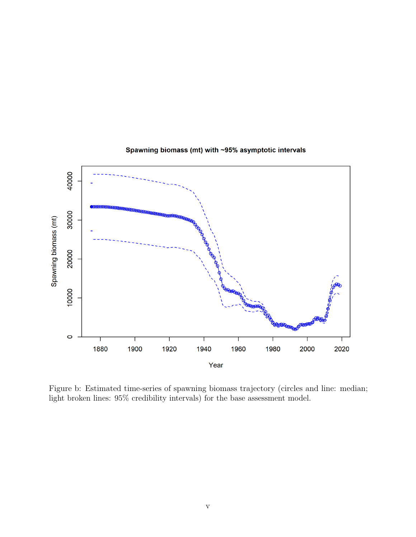

#### Spawning biomass (mt) with ~95% asymptotic intervals

Figure b: Estimated time-series of spawning biomass trajectory (circles and line: median; light broken lines: 95% credibility intervals) for the base assessment model.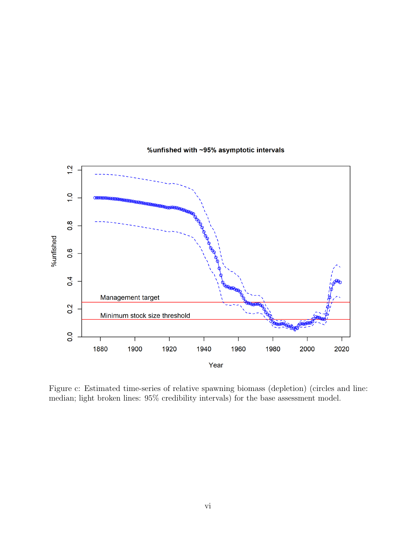

#### %unfished with ~95% asymptotic intervals

Figure c: Estimated time-series of relative spawning biomass (depletion) (circles and line: median; light broken lines: 95% credibility intervals) for the base assessment model.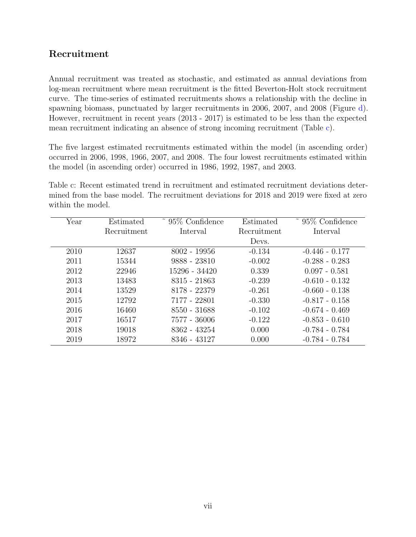## Recruitment

Annual recruitment was treated as stochastic, and estimated as annual deviations from log-mean recruitment where mean recruitment is the fitted Beverton-Holt stock recruitment curve. The time-series of estimated recruitments shows a relationship with the decline in spawning biomass, punctuated by larger recruitments in 2006, 2007, and 2008 (Figure d). However, recruitment in recent years (2013 - 2017) is estimated to be less than the expected mean recruitment indicating an absence of strong incoming recruitment (Table c).

The five largest estimated recruitments estimated within the model (in ascending order) occurred in 2006, 1998, 1966, 2007, and 2008. The four lowest recruitments estimated within the model (in ascending order) occurred in 1986, 1992, 1987, and 2003.

Table c: Recent estimated trend in recruitment and estimated recruitment deviations determined from the base model. The recruitment deviations for 2018 and 2019 were fixed at zero within the model.

| Year | Estimated   | ~ $95\%$ Confidence | Estimated   | 95% Confidence   |
|------|-------------|---------------------|-------------|------------------|
|      | Recruitment | Interval            | Recruitment | Interval         |
|      |             |                     | Devs.       |                  |
| 2010 | 12637       | $8002 - 19956$      | $-0.134$    | $-0.446 - 0.177$ |
| 2011 | 15344       | 9888 - 23810        | $-0.002$    | $-0.288 - 0.283$ |
| 2012 | 22946       | 15296 - 34420       | 0.339       | $0.097 - 0.581$  |
| 2013 | 13483       | 8315 - 21863        | $-0.239$    | $-0.610 - 0.132$ |
| 2014 | 13529       | 8178 - 22379        | $-0.261$    | $-0.660 - 0.138$ |
| 2015 | 12792       | 7177 - 22801        | $-0.330$    | $-0.817 - 0.158$ |
| 2016 | 16460       | 8550 - 31688        | $-0.102$    | $-0.674 - 0.469$ |
| 2017 | 16517       | 7577 - 36006        | $-0.122$    | $-0.853 - 0.610$ |
| 2018 | 19018       | 8362 - 43254        | 0.000       | $-0.784 - 0.784$ |
| 2019 | 18972       | 8346 - 43127        | 0.000       | $-0.784 - 0.784$ |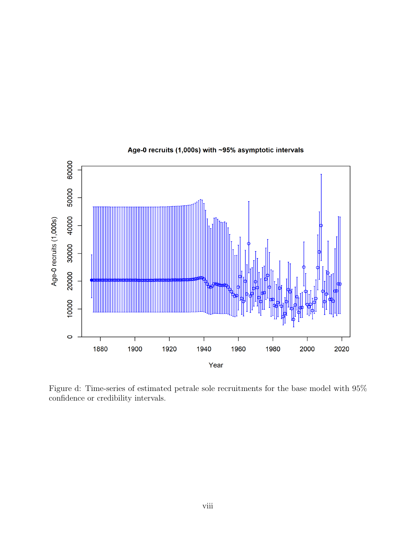

#### Age-0 recruits (1,000s) with ~95% asymptotic intervals

Figure d: Time-series of estimated petrale sole recruitments for the base model with 95% confidence or credibility intervals.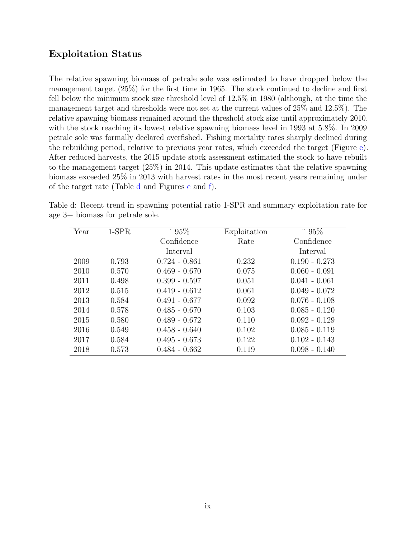## Exploitation Status

The relative spawning biomass of petrale sole was estimated to have dropped below the management target (25%) for the first time in 1965. The stock continued to decline and first fell below the minimum stock size threshold level of 12.5% in 1980 (although, at the time the management target and thresholds were not set at the current values of 25% and 12.5%). The relative spawning biomass remained around the threshold stock size until approximately 2010, with the stock reaching its lowest relative spawning biomass level in 1993 at 5.8%. In 2009 petrale sole was formally declared overfished. Fishing mortality rates sharply declined during the rebuilding period, relative to previous year rates, which exceeded the target (Figure e). After reduced harvests, the 2015 update stock assessment estimated the stock to have rebuilt to the management target (25%) in 2014. This update estimates that the relative spawning biomass exceeded 25% in 2013 with harvest rates in the most recent years remaining under of the target rate (Table d and Figures e and f).

| Year | $1-SPR$ | $~^{\circ}$ 95% | Exploitation | $95\%$          |
|------|---------|-----------------|--------------|-----------------|
|      |         | Confidence      | Rate         | Confidence      |
|      |         | Interval        |              | Interval        |
| 2009 | 0.793   | $0.724 - 0.861$ | 0.232        | $0.190 - 0.273$ |
| 2010 | 0.570   | $0.469 - 0.670$ | 0.075        | $0.060 - 0.091$ |
| 2011 | 0.498   | $0.399 - 0.597$ | 0.051        | $0.041 - 0.061$ |
| 2012 | 0.515   | $0.419 - 0.612$ | 0.061        | $0.049 - 0.072$ |
| 2013 | 0.584   | $0.491 - 0.677$ | 0.092        | $0.076 - 0.108$ |
| 2014 | 0.578   | $0.485 - 0.670$ | 0.103        | $0.085 - 0.120$ |
| 2015 | 0.580   | $0.489 - 0.672$ | 0.110        | $0.092 - 0.129$ |
| 2016 | 0.549   | $0.458 - 0.640$ | 0.102        | $0.085 - 0.119$ |
| 2017 | 0.584   | $0.495 - 0.673$ | 0.122        | $0.102 - 0.143$ |
| 2018 | 0.573   | $0.484 - 0.662$ | 0.119        | $0.098 - 0.140$ |

Table d: Recent trend in spawning potential ratio 1-SPR and summary exploitation rate for age 3+ biomass for petrale sole.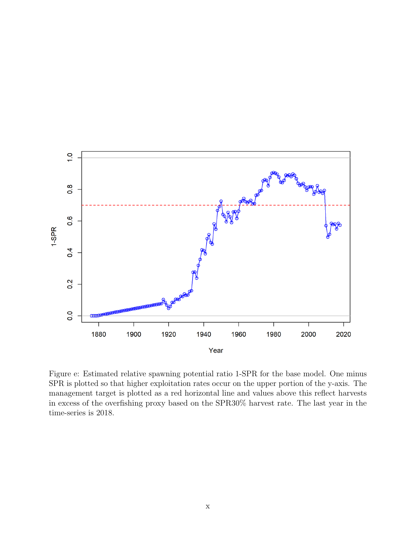

Figure e: Estimated relative spawning potential ratio 1-SPR for the base model. One minus SPR is plotted so that higher exploitation rates occur on the upper portion of the y-axis. The management target is plotted as a red horizontal line and values above this reflect harvests in excess of the overfishing proxy based on the SPR30% harvest rate. The last year in the time-series is 2018.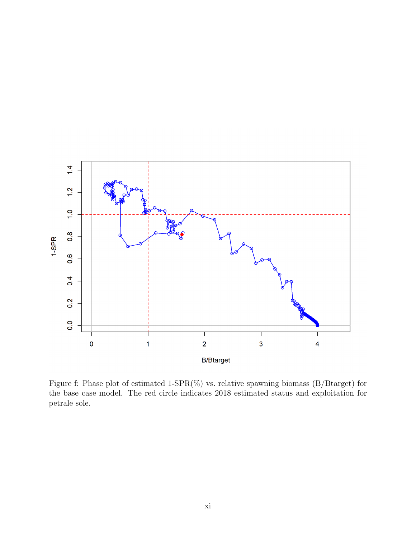

Figure f: Phase plot of estimated 1-SPR(%) vs. relative spawning biomass (B/Btarget) for the base case model. The red circle indicates 2018 estimated status and exploitation for petrale sole.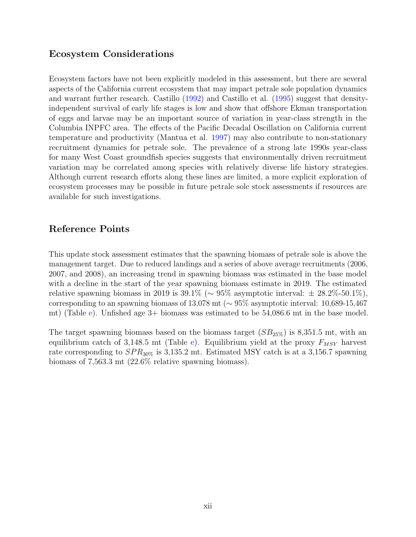## Ecosystem Considerations

Ecosystem factors have not been explicitly modeled in this assessment, but there are several aspects of the California current ecosystem that may impact petrale sole population dynamics and warrant further research. Castillo (1992) and Castillo et al. (1995) suggest that densityindependent survival of early life stages is low and show that offshore Ekman transportation of eggs and larvae may be an important source of variation in year-class strength in the Columbia INPFC area. The effects of the Pacific Decadal Oscillation on California current temperature and productivity (Mantua et al. 1997) may also contribute to non-stationary recruitment dynamics for petrale sole. The prevalence of a strong late 1990s year-class for many West Coast groundfish species suggests that environmentally driven recruitment variation may be correlated among species with relatively diverse life history strategies. Although current research efforts along these lines are limited, a more explicit exploration of ecosystem processes may be possible in future petrale sole stock assessments if resources are available for such investigations.

## Reference Points

This update stock assessment estimates that the spawning biomass of petrale sole is above the management target. Due to reduced landings and a series of above average recruitments (2006, 2007, and 2008), an increasing trend in spawning biomass was estimated in the base model with a decline in the start of the year spawning biomass estimate in 2019. The estimated relative spawning biomass in 2019 is  $39.1\%$  ( $\sim 95\%$  asymptotic interval:  $\pm 28.2\%$ -50.1%), corresponding to an spawning biomass of 13,078 mt (∼ 95% asymptotic interval: 10,689-15,467 mt) (Table e). Unfished age 3+ biomass was estimated to be 54,086.6 mt in the base model.

The target spawning biomass based on the biomass target  $(SB_{25\%})$  is 8,351.5 mt, with an equilibrium catch of 3,148.5 mt (Table e). Equilibrium yield at the proxy  $F_{MSY}$  harvest rate corresponding to  $SPR_{30\%}$  is 3,135.2 mt. Estimated MSY catch is at a 3,156.7 spawning biomass of 7,563.3 mt (22.6% relative spawning biomass).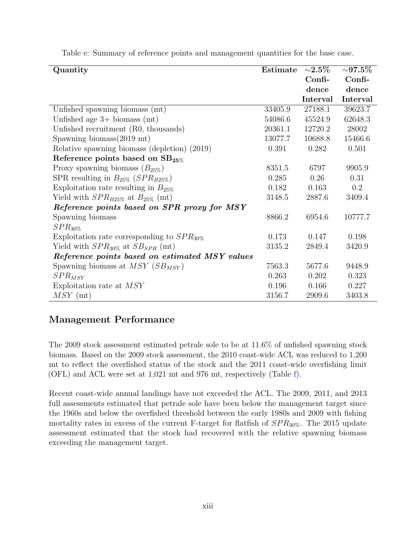| Quantity                                           | Estimate | ${\sim}2.5\%$ | ${\sim}97.5\%$ |
|----------------------------------------------------|----------|---------------|----------------|
|                                                    |          | Confi-        | Confi-         |
|                                                    |          | dence         | dence          |
|                                                    |          | Interval      | Interval       |
| Unfished spawning biomass (mt)                     | 33405.9  | 27188.1       | 39623.7        |
| Unfished age $3+$ biomass (mt)                     | 54086.6  | 45524.9       | 62648.3        |
| Unfished recruitment (R0, thousands)               | 20361.1  | 12720.2       | 28002          |
| Spawning biomass $(2019 \text{ mt})$               | 13077.7  | 10688.8       | 15466.6        |
| Relative spawning biomass (depletion) (2019)       | 0.391    | 0.282         | 0.501          |
| Reference points based on SB <sub>25%</sub>        |          |               |                |
| Proxy spawning biomass $(B_{25\%})$                | 8351.5   | 6797          | 9905.9         |
| SPR resulting in $B_{25\%}$ (SPR <sub>B25%</sub> ) | 0.285    | 0.26          | 0.31           |
| Exploitation rate resulting in $B_{25\%}$          | 0.182    | 0.163         | $0.2\,$        |
| Yield with $SPR_{B25\%}$ at $B_{25\%}$ (mt)        | 3148.5   | 2887.6        | 3409.4         |
| Reference points based on SPR proxy for MSY        |          |               |                |
| Spawning biomass                                   | 8866.2   | 6954.6        | 10777.7        |
| $SPR_{30\%}$                                       |          |               |                |
| Exploitation rate corresponding to $SPR_{30\%}$    | 0.173    | 0.147         | 0.198          |
| Yield with $SPR_{30\%}$ at $SB_{SPR}$ (mt)         | 3135.2   | 2849.4        | 3420.9         |
| Reference points based on estimated MSY values     |          |               |                |
| Spawning biomass at $MSY$ ( $SB_{MSY}$ )           | 7563.3   | 5677.6        | 9448.9         |
| $SPR_{MSY}$                                        | 0.263    | 0.202         | 0.323          |
| Exploitation rate at MSY                           | 0.196    | 0.166         | 0.227          |
| $MSY$ (mt)                                         | 3156.7   | 2909.6        | 3403.8         |

Table e: Summary of reference points and management quantities for the base case.

## Management Performance

The 2009 stock assessment estimated petrale sole to be at 11.6% of unfished spawning stock biomass. Based on the 2009 stock assessment, the 2010 coast-wide ACL was reduced to 1,200 mt to reflect the overfished status of the stock and the 2011 coast-wide overfishing limit (OFL) and ACL were set at 1,021 mt and 976 mt, respectively (Table f).

Recent coast-wide annual landings have not exceeded the ACL. The 2009, 2011, and 2013 full assessments estimated that petrale sole have been below the management target since the 1960s and below the overfished threshold between the early 1980s and 2009 with fishing mortality rates in excess of the current F-target for flatfish of  $SPR_{30\%}$ . The 2015 update assessment estimated that the stock had recovered with the relative spawning biomass exceeding the management target.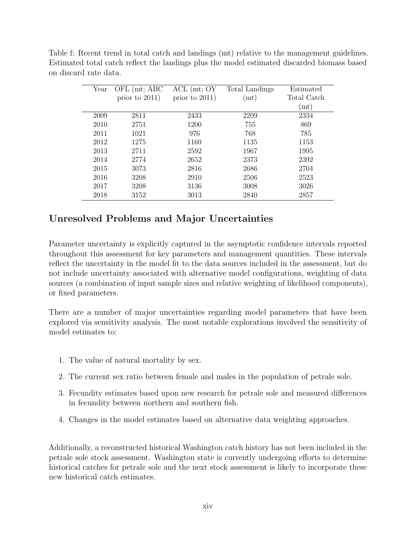Table f: Recent trend in total catch and landings (mt) relative to the management guidelines. Estimated total catch reflect the landings plus the model estimated discarded biomass based on discard rate data.

| Year | OFL (mt; ABC)     | $ACL$ (mt; $OY$   | Total Landings | Estimated   |
|------|-------------------|-------------------|----------------|-------------|
|      | prior to $2011$ ) | prior to $2011$ ) | (m t)          | Total Catch |
|      |                   |                   |                | (m t)       |
| 2009 | 2811              | 2433              | 2209           | 2334        |
| 2010 | 2751              | 1200              | 755            | 869         |
| 2011 | 1021              | 976               | 768            | 785         |
| 2012 | 1275              | 1160              | 1135           | 1153        |
| 2013 | 2711              | 2592              | 1967           | 1995        |
| 2014 | 2774              | 2652              | 2373           | 2392        |
| 2015 | 3073              | 2816              | 2686           | 2704        |
| 2016 | 3208              | 2910              | 2506           | 2523        |
| 2017 | 3208              | 3136              | 3008           | 3026        |
| 2018 | 3152              | 3013              | 2840           | 2857        |

## Unresolved Problems and Major Uncertainties

Parameter uncertainty is explicitly captured in the asymptotic confidence intervals reported throughout this assessment for key parameters and management quantities. These intervals reflect the uncertainty in the model fit to the data sources included in the assessment, but do not include uncertainty associated with alternative model configurations, weighting of data sources (a combination of input sample sizes and relative weighting of likelihood components), or fixed parameters.

There are a number of major uncertainties regarding model parameters that have been explored via sensitivity analysis. The most notable explorations involved the sensitivity of model estimates to:

- 1. The value of natural mortality by sex.
- 2. The current sex ratio between female and males in the population of petrale sole.
- 3. Fecundity estimates based upon new research for petrale sole and measured differences in fecundity between northern and southern fish.
- 4. Changes in the model estimates based on alternative data weighting approaches.

Additionally, a reconstructed historical Washington catch history has not been included in the petrale sole stock assessment. Washington state is currently undergoing efforts to determine historical catches for petrale sole and the next stock assessment is likely to incorporate these new historical catch estimates.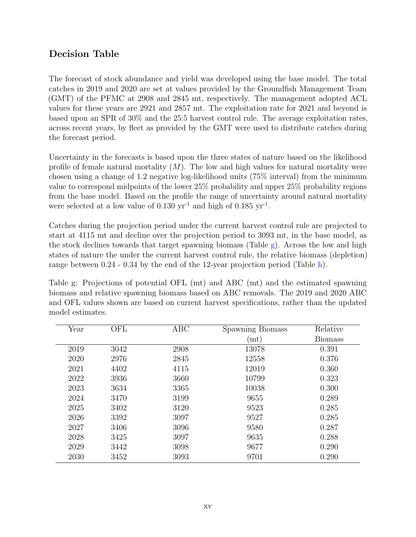## Decision Table

The forecast of stock abundance and yield was developed using the base model. The total catches in 2019 and 2020 are set at values provided by the Groundfish Management Team (GMT) of the PFMC at 2908 and 2845 mt, respectively. The management adopted ACL values for these years are 2921 and 2857 mt. The exploitation rate for 2021 and beyond is based upon an SPR of 30% and the 25:5 harvest control rule. The average exploitation rates, across recent years, by fleet as provided by the GMT were used to distribute catches during the forecast period.

Uncertainty in the forecasts is based upon the three states of nature based on the likelihood profile of female natural mortality  $(M)$ . The low and high values for natural mortality were chosen using a change of 1.2 negative log-likelihood units (75% interval) from the minimum value to correspond midpoints of the lower 25% probability and upper 25% probability regions from the base model. Based on the profile the range of uncertainty around natural mortality were selected at a low value of  $0.130 \text{ yr}^{-1}$  and high of  $0.185 \text{ yr}^{-1}$ .

Catches during the projection period under the current harvest control rule are projected to start at 4115 mt and decline over the projection period to 3093 mt, in the base model, as the stock declines towards that target spawning biomass (Table g). Across the low and high states of nature the under the current harvest control rule, the relative biomass (depletion) range between 0.24 - 0.34 by the end of the 12-year projection period (Table h).

Table g: Projections of potential OFL (mt) and ABC (mt) and the estimated spawning biomass and relative spawning biomass based on ABC removals. The 2019 and 2020 ABC and OFL values shown are based on current harvest specifications, rather than the updated model estimates.

| Year | OFL  | ABC  | Spawning Biomass | Relative       |
|------|------|------|------------------|----------------|
|      |      |      | (mt)             | <b>Biomass</b> |
| 2019 | 3042 | 2908 | 13078            | 0.391          |
| 2020 | 2976 | 2845 | 12558            | 0.376          |
| 2021 | 4402 | 4115 | 12019            | 0.360          |
| 2022 | 3936 | 3660 | 10799            | 0.323          |
| 2023 | 3634 | 3365 | 10038            | 0.300          |
| 2024 | 3470 | 3199 | 9655             | 0.289          |
| 2025 | 3402 | 3120 | 9523             | 0.285          |
| 2026 | 3392 | 3097 | 9527             | 0.285          |
| 2027 | 3406 | 3096 | 9580             | 0.287          |
| 2028 | 3425 | 3097 | 9635             | 0.288          |
| 2029 | 3442 | 3098 | 9677             | 0.290          |
| 2030 | 3452 | 3093 | 9701             | 0.290          |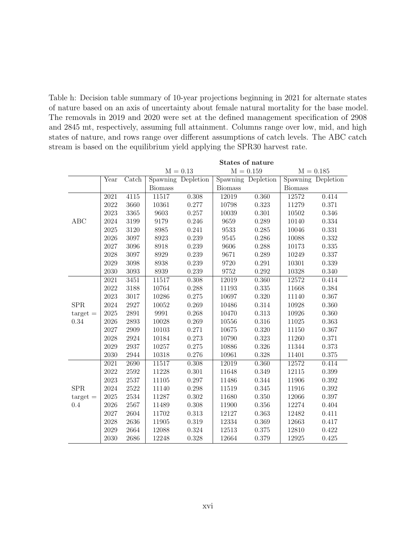Table h: Decision table summary of 10-year projections beginning in 2021 for alternate states of nature based on an axis of uncertainty about female natural mortality for the base model. The removals in 2019 and 2020 were set at the defined management specification of 2908 and 2845 mt, respectively, assuming full attainment. Columns range over low, mid, and high states of nature, and rows range over different assumptions of catch levels. The ABC catch stream is based on the equilibrium yield applying the SPR30 harvest rate.

|                   | States of nature         |       |                           |                    |                |                    |                |                    |
|-------------------|--------------------------|-------|---------------------------|--------------------|----------------|--------------------|----------------|--------------------|
|                   |                          |       | $M = 0.13$<br>$M = 0.159$ |                    |                |                    |                | $M = 0.185$        |
|                   | $\overline{\text{Year}}$ | Catch |                           | Spawning Depletion |                | Spawning Depletion |                | Spawning Depletion |
|                   |                          |       | <b>Biomass</b>            |                    | <b>Biomass</b> |                    | <b>Biomass</b> |                    |
|                   | 2021                     | 4115  | 11517                     | 0.308              | 12019          | 0.360              | 12572          | 0.414              |
|                   | 2022                     | 3660  | 10361                     | 0.277              | 10798          | 0.323              | 11279          | 0.371              |
|                   | 2023                     | 3365  | 9603                      | 0.257              | 10039          | 0.301              | 10502          | 0.346              |
| ABC               | 2024                     | 3199  | 9179                      | 0.246              | 9659           | 0.289              | 10140          | 0.334              |
|                   | 2025                     | 3120  | 8985                      | 0.241              | 9533           | 0.285              | 10046          | 0.331              |
|                   | 2026                     | 3097  | 8923                      | 0.239              | 9545           | 0.286              | 10088          | 0.332              |
|                   | 2027                     | 3096  | 8918                      | 0.239              | 9606           | 0.288              | 10173          | $0.335\,$          |
|                   | 2028                     | 3097  | 8929                      | 0.239              | 9671           | 0.289              | 10249          | 0.337              |
|                   | 2029                     | 3098  | 8938                      | 0.239              | 9720           | 0.291              | 10301          | 0.339              |
|                   | 2030                     | 3093  | 8939                      | 0.239              | 9752           | 0.292              | 10328          | 0.340              |
|                   | 2021                     | 3451  | 11517                     | 0.308              | 12019          | 0.360              | 12572          | 0.414              |
|                   | 2022                     | 3188  | 10764                     | 0.288              | 11193          | 0.335              | 11668          | 0.384              |
|                   | 2023                     | 3017  | 10286                     | 0.275              | 10697          | 0.320              | 11140          | 0.367              |
| <b>SPR</b>        | 2024                     | 2927  | 10052                     | 0.269              | 10486          | 0.314              | 10928          | 0.360              |
| $\text{target} =$ | 2025                     | 2891  | 9991                      | 0.268              | 10470          | 0.313              | 10926          | 0.360              |
| 0.34              | 2026                     | 2893  | 10028                     | 0.269              | 10556          | 0.316              | 11025          | 0.363              |
|                   | 2027                     | 2909  | 10103                     | 0.271              | 10675          | 0.320              | 11150          | 0.367              |
|                   | 2028                     | 2924  | 10184                     | 0.273              | 10790          | 0.323              | 11260          | 0.371              |
|                   | 2029                     | 2937  | 10257                     | 0.275              | 10886          | 0.326              | 11344          | 0.373              |
|                   | 2030                     | 2944  | 10318                     | 0.276              | 10961          | 0.328              | 11401          | $0.375\,$          |
|                   | 2021                     | 2690  | 11517                     | 0.308              | 12019          | 0.360              | 12572          | 0.414              |
|                   | 2022                     | 2592  | 11228                     | 0.301              | 11648          | 0.349              | 12115          | 0.399              |
|                   | 2023                     | 2537  | 11105                     | 0.297              | 11486          | 0.344              | 11906          | 0.392              |
| ${\rm SPR}$       | 2024                     | 2522  | 11140                     | 0.298              | 11519          | 0.345              | 11916          | $0.392\,$          |
| $\text{target} =$ | 2025                     | 2534  | 11287                     | 0.302              | 11680          | 0.350              | 12066          | 0.397              |
| 0.4               | 2026                     | 2567  | 11489                     | 0.308              | 11900          | 0.356              | 12274          | $0.404\,$          |
|                   | 2027                     | 2604  | 11702                     | 0.313              | 12127          | 0.363              | 12482          | 0.411              |
|                   | 2028                     | 2636  | 11905                     | 0.319              | 12334          | 0.369              | 12663          | 0.417              |
|                   | 2029                     | 2664  | 12088                     | 0.324              | 12513          | 0.375              | 12810          | 0.422              |
|                   | 2030                     | 2686  | 12248                     | 0.328              | 12664          | 0.379              | 12925          | 0.425              |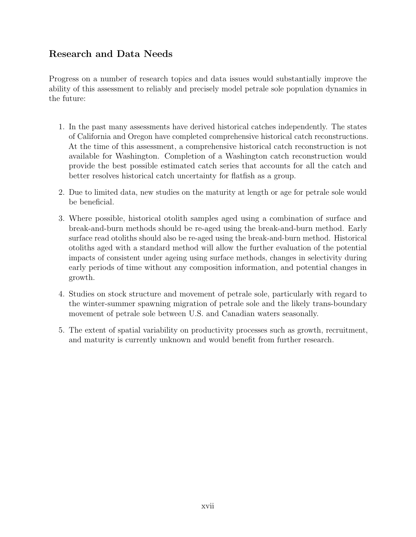## Research and Data Needs

Progress on a number of research topics and data issues would substantially improve the ability of this assessment to reliably and precisely model petrale sole population dynamics in the future:

- 1. In the past many assessments have derived historical catches independently. The states of California and Oregon have completed comprehensive historical catch reconstructions. At the time of this assessment, a comprehensive historical catch reconstruction is not available for Washington. Completion of a Washington catch reconstruction would provide the best possible estimated catch series that accounts for all the catch and better resolves historical catch uncertainty for flatfish as a group.
- 2. Due to limited data, new studies on the maturity at length or age for petrale sole would be beneficial.
- 3. Where possible, historical otolith samples aged using a combination of surface and break-and-burn methods should be re-aged using the break-and-burn method. Early surface read otoliths should also be re-aged using the break-and-burn method. Historical otoliths aged with a standard method will allow the further evaluation of the potential impacts of consistent under ageing using surface methods, changes in selectivity during early periods of time without any composition information, and potential changes in growth.
- 4. Studies on stock structure and movement of petrale sole, particularly with regard to the winter-summer spawning migration of petrale sole and the likely trans-boundary movement of petrale sole between U.S. and Canadian waters seasonally.
- 5. The extent of spatial variability on productivity processes such as growth, recruitment, and maturity is currently unknown and would benefit from further research.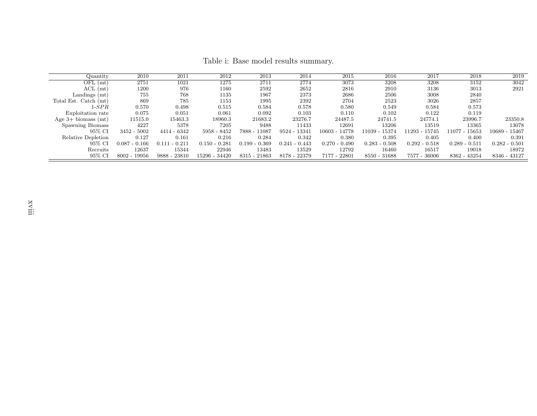| Quantity              | 2010            | 2011            | 2012            | 2013            | 2014            | 2015            | 2016              | 2017               | 2018            | 2019            |
|-----------------------|-----------------|-----------------|-----------------|-----------------|-----------------|-----------------|-------------------|--------------------|-----------------|-----------------|
| $OFL$ (mt)            | 2751            | 1021            | 1275            | 2711            | 2774            | 3073            | 3208              | 3208               | 3152            | 3042            |
| $ACL$ (mt)            | 1200            | 976             | 1160            | 2592            | 2652            | 2816            | 2910              | 3136               | 3013            | 2921            |
| Landings (mt)         | 755             | 768             | 1135            | 1967            | 2373            | 2686            | 2506              | 3008               | 2840            |                 |
| Total Est. Catch (mt) | 869             | 785             | 1153            | 1995            | 2392            | 2704            | 2523              | 3026               | 2857            |                 |
| $1\hbox{-}SPR$        | 0.570           | 0.498           | 0.515           | 0.584           | 0.578           | 0.580           | 0.549             | 0.584              | 0.573           |                 |
| Exploitation rate     | 0.075           | 0.051           | 0.061           | 0.092           | 0.103           | 0.110           | 0.102             | 0.122              | 0.119           |                 |
| Age $3+$ biomass (mt) | 11515.0         | 15463.3         | 18960.3         | 21683.2         | 23276.7         | 24487.5         | 24741.5           | 24774.1            | 23996.7         | 23350.8         |
| Spawning Biomass      | 4227            | 5378            | 7205            | 9488            | 11433           | 12691           | 13206             | 13519              | 13365           | 13078           |
| 95% CI                | $3452 - 5002$   | 4414 - 6342     | $5958 - 8452$   | 7888 - 11087    | 9524 - 13341    | 10603 - 14778   | $-15374$<br>11039 | 15745<br>11293 - 1 | 11077 - 15653   | 10689 - 15467   |
| Relative Depletion    | 0.127           | 0.161           | 0.216           | 0.284           | 0.342           | 0.380           | 0.395             | 0.405              | 0.400           | 0.391           |
| 95% CI                | $0.087 - 0.166$ | $0.111 - 0.211$ | $0.150 - 0.281$ | $0.199 - 0.369$ | $0.241 - 0.443$ | $0.270 - 0.490$ | $0.283 - 0.508$   | $0.292 - 0.518$    | $0.289 - 0.511$ | $0.282 - 0.501$ |
| Recruits              | 12637           | 15344           | 22946           | 13483           | 13529           | 12792           | 16460             | 16517              | 19018           | 18972           |
| 95% CI                | $8002 - 19956$  | 9888 - 23810    | 15296 - 34420   | 8315 - 21863    | 8178 - 22379    | 7177 - 22801    | 8550 - 31688      | 7577 - 36006       | 8362 - 43254    | 8346 - 43127    |

Table i: Base model results summary.